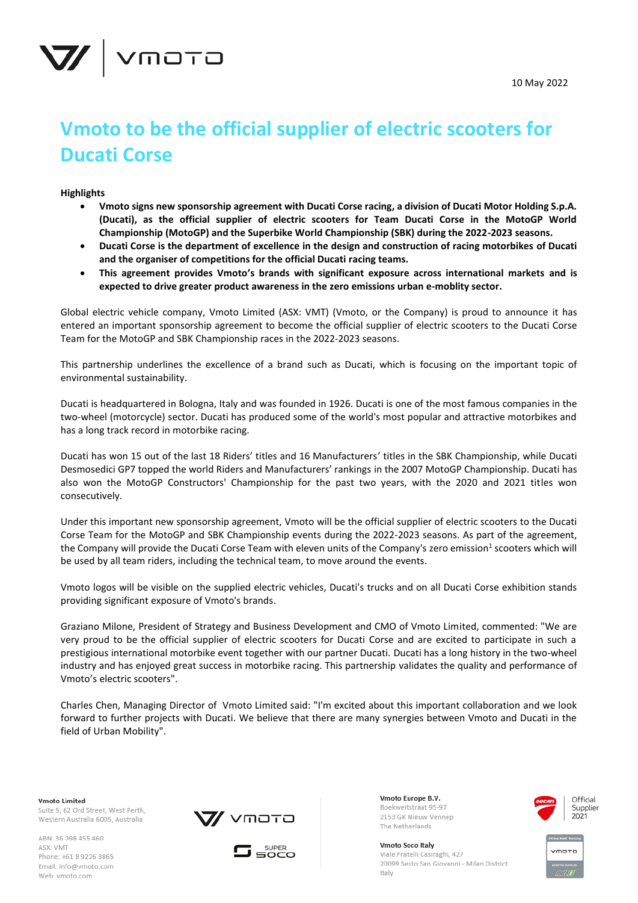



# **Vmoto to be the official supplier of electric scooters for Ducati Corse**

## **Highlights**

- **Vmoto signs new sponsorship agreement with Ducati Corse racing, a division of Ducati Motor Holding S.p.A. (Ducati), as the official supplier of electric scooters for Team Ducati Corse in the MotoGP World Championship (MotoGP) and the Superbike World Championship (SBK) during the 2022-2023 seasons.**
- **Ducati Corse is the department of excellence in the design and construction of racing motorbikes of Ducati and the organiser of competitions for the official Ducati racing teams.**
- **This agreement provides Vmoto's brands with significant exposure across international markets and is expected to drive greater product awareness in the zero emissions urban e-moblity sector.**

Global electric vehicle company, Vmoto Limited (ASX: VMT) (Vmoto, or the Company) is proud to announce it has entered an important sponsorship agreement to become the official supplier of electric scooters to the Ducati Corse Team for the MotoGP and SBK Championship races in the 2022-2023 seasons.

This partnership underlines the excellence of a brand such as Ducati, which is focusing on the important topic of environmental sustainability.

Ducati is headquartered in Bologna, Italy and was founded in 1926. Ducati is one of the most famous companies in the two-wheel (motorcycle) sector. Ducati has produced some of the world's most popular and attractive motorbikes and has a long track record in motorbike racing.

Ducati has won 15 out of the last 18 Riders' titles and 16 Manufacturers' titles in the SBK Championship, while Ducati Desmosedici GP7 topped the world Riders and Manufacturers' rankings in the 2007 MotoGP Championship. Ducati has also won the MotoGP Constructors' Championship for the past two years, with the 2020 and 2021 titles won consecutively.

Under this important new sponsorship agreement, Vmoto will be the official supplier of electric scooters to the Ducati Corse Team for the MotoGP and SBK Championship events during the 2022-2023 seasons. As part of the agreement, the Company will provide the Ducati Corse Team with eleven units of the Company's zero emission<sup>1</sup> scooters which will be used by all team riders, including the technical team, to move around the events.

Vmoto logos will be visible on the supplied electric vehicles, Ducati's trucks and on all Ducati Corse exhibition stands providing significant exposure of Vmoto's brands.

Graziano Milone, President of Strategy and Business Development and CMO of Vmoto Limited, commented: "We are very proud to be the official supplier of electric scooters for Ducati Corse and are excited to participate in such a prestigious international motorbike event together with our partner Ducati. Ducati has a long history in the two-wheel industry and has enjoyed great success in motorbike racing. This partnership validates the quality and performance of Vmoto's electric scooters".

Charles Chen, Managing Director of Vmoto Limited said: "I'm excited about this important collaboration and we look forward to further projects with Ducati. We believe that there are many synergies between Vmoto and Ducati in the field of Urban Mobility".

**Vmoto Limited** Suite 5, 62 Ord Street, West Perth, Western Australia 6005, Australia

ABN: 36 098 455 460 ASX: VMT Phone: +61 8 9226 3865 Email: info@vmoto.com Web: vmoto.com





Vmoto Europe B.V. Boekweitstraat 95-97 2153 GK Nieuw Vennep The Netherlands



Vmoto Soco Italy Viale Fratelli Casiraghi, 427 20099 Sesto San Giovanni - Milan District Italy

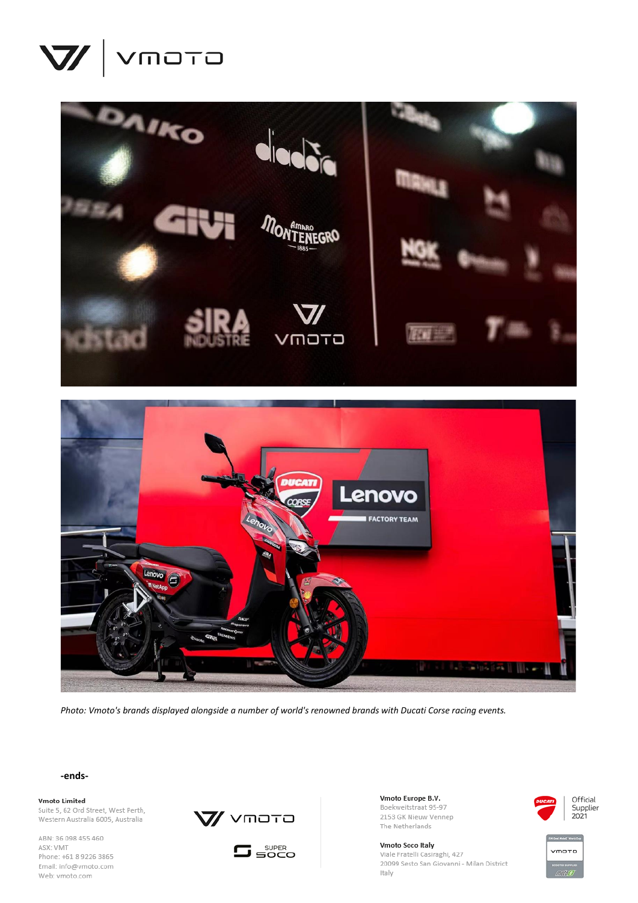





*Photo: Vmoto's brands displayed alongside a number of world's renowned brands with Ducati Corse racing events.*

**-ends-**

**Vmoto Limited** 

Suite 5, 62 Ord Street, West Perth, Western Australia 6005, Australia

ABN: 36 098 455 460 ASX: VMT Phone: +61 8 9226 3865 Email: info@vmoto.com Web: vmoto.com





Vmoto Europe B.V. Boekweitstraat 95-97 2153 GK Nieuw Vennep The Netherlands

Vmoto Soco Italy Viale Fratelli Casiraghi, 427 20099 Sesto San Giovanni - Milan District Italy